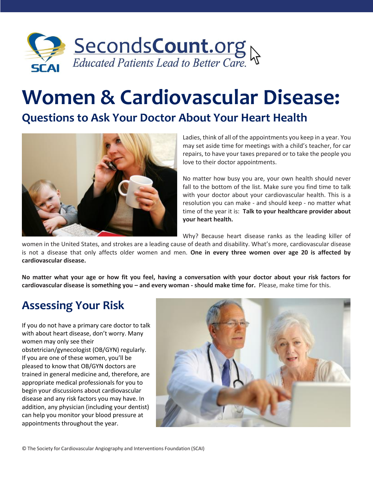

# **Women & Cardiovascular Disease:**

#### **Questions to Ask Your Doctor About Your Heart Health**



Ladies, think of all of the appointments you keep in a year. You may set aside time for meetings with a child's teacher, for car repairs, to have your taxes prepared or to take the people you love to their doctor appointments.

No matter how busy you are, your own health should never fall to the bottom of the list. Make sure you find time to talk with your doctor about your cardiovascular health. This is a resolution you can make - and should keep - no matter what time of the year it is: **Talk to your healthcare provider about your heart health.**

Why? Because heart disease ranks as the leading killer of

women in the United States, and strokes are a leading cause of death and disability. What's more, cardiovascular disease is not a disease that only affects older women and men. **One in every three women over age 20 is affected by cardiovascular disease.** 

**No matter what your age or how fit you feel, having a conversation with your doctor about your risk factors for cardiovascular disease is something you – and every woman - should make time for.** Please, make time for this.

### **Assessing Your Risk**

If you do not have a primary care doctor to talk with about heart disease, don't worry. Many women may only see their obstetrician/gynecologist (OB/GYN) regularly. If you are one of these women, you'll be pleased to know that OB/GYN doctors are trained in general medicine and, therefore, are appropriate medical professionals for you to begin your discussions about cardiovascular disease and any risk factors you may have. In addition, any physician (including your dentist) can help you monitor your blood pressure at appointments throughout the year.